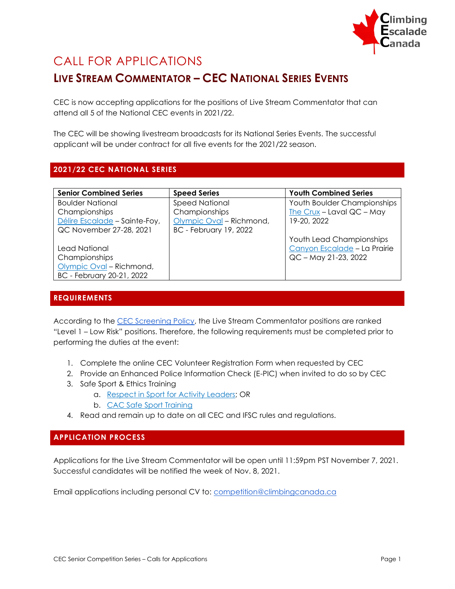

# CALL FOR APPLICATIONS

# **LIVE STREAM COMMENTATOR – CEC NATIONAL SERIES EVENTS**

CEC is now accepting applications for the positions of Live Stream Commentator that can attend all 5 of the National CEC events in 2021/22.

The CEC will be showing livestream broadcasts for its National Series Events. The successful applicant will be under contract for all five events for the 2021/22 season.

# **2021/22 CEC NATIONAL SERIES**

| <b>Senior Combined Series</b> | <b>Speed Series</b>           | <b>Youth Combined Series</b>    |
|-------------------------------|-------------------------------|---------------------------------|
| <b>Boulder National</b>       | <b>Speed National</b>         | Youth Boulder Championships     |
| Championships                 | Championships                 | The Crux - Laval $QC$ - May     |
| Délire Escalade - Sainte-Foy, | Olympic Oval - Richmond,      | 19-20, 2022                     |
| QC November 27-28, 2021       | <b>BC</b> - February 19, 2022 |                                 |
|                               |                               | <b>Youth Lead Championships</b> |
| Lead National                 |                               | Canyon Escalade - La Prairie    |
| Championships                 |                               | QC - May 21-23, 2022            |
| Olympic Oval - Richmond,      |                               |                                 |
| BC - February 20-21, 2022     |                               |                                 |

### **REQUIREMENTS**

According to the [CEC Screening Policy,](http://climbingcanada.ca/wp-content/uploads/2020/09/CEC-SP-06-Screening-Policy.pdf) the Live Stream Commentator positions are ranked "Level 1 – Low Risk" positions. Therefore, the following requirements must be completed prior to performing the duties at the event:

- 1. Complete the online CEC Volunteer Registration Form when requested by CEC
- 2. Provide an Enhanced Police Information Check (E-PIC) when invited to do so by CEC
- 3. Safe Sport & Ethics Training
	- a. Respect in Sport [for Activity Leaders;](https://climbing-escalade-canada-al.respectgroupinc.com/) OR
	- b. [CAC Safe Sport Training](https://safesport.coach.ca/)
- 4. Read and remain up to date on all CEC and IFSC rules and regulations.

## **APPLICATION PROCESS**

Applications for the Live Stream Commentator will be open until 11:59pm PST November 7, 2021. Successful candidates will be notified the week of Nov. 8, 2021.

Email applications including personal CV to: [competition@climbingcanada.ca](mailto:competition@climbingcanada.ca)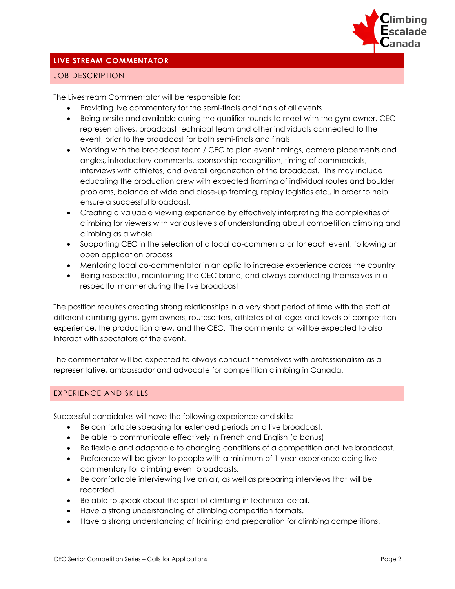

#### **LIVE STREAM COMMENTATOR**

#### JOB DESCRIPTION

The Livestream Commentator will be responsible for:

- Providing live commentary for the semi-finals and finals of all events
- Being onsite and available during the qualifier rounds to meet with the gym owner, CEC representatives, broadcast technical team and other individuals connected to the event, prior to the broadcast for both semi-finals and finals
- Working with the broadcast team / CEC to plan event timings, camera placements and angles, introductory comments, sponsorship recognition, timing of commercials, interviews with athletes, and overall organization of the broadcast. This may include educating the production crew with expected framing of individual routes and boulder problems, balance of wide and close-up framing, replay logistics etc., in order to help ensure a successful broadcast.
- Creating a valuable viewing experience by effectively interpreting the complexities of climbing for viewers with various levels of understanding about competition climbing and climbing as a whole
- Supporting CEC in the selection of a local co-commentator for each event, following an open application process
- Mentoring local co-commentator in an optic to increase experience across the country
- Being respectful, maintaining the CEC brand, and always conducting themselves in a respectful manner during the live broadcast

The position requires creating strong relationships in a very short period of time with the staff at different climbing gyms, gym owners, routesetters, athletes of all ages and levels of competition experience, the production crew, and the CEC. The commentator will be expected to also interact with spectators of the event.

The commentator will be expected to always conduct themselves with professionalism as a representative, ambassador and advocate for competition climbing in Canada.

#### EXPERIENCE AND SKILLS

Successful candidates will have the following experience and skills:

- Be comfortable speaking for extended periods on a live broadcast.
- Be able to communicate effectively in French and English (a bonus)
- Be flexible and adaptable to changing conditions of a competition and live broadcast.
- Preference will be given to people with a minimum of 1 year experience doing live commentary for climbing event broadcasts.
- Be comfortable interviewing live on air, as well as preparing interviews that will be recorded.
- Be able to speak about the sport of climbing in technical detail.
- Have a strong understanding of climbing competition formats.
- Have a strong understanding of training and preparation for climbing competitions.